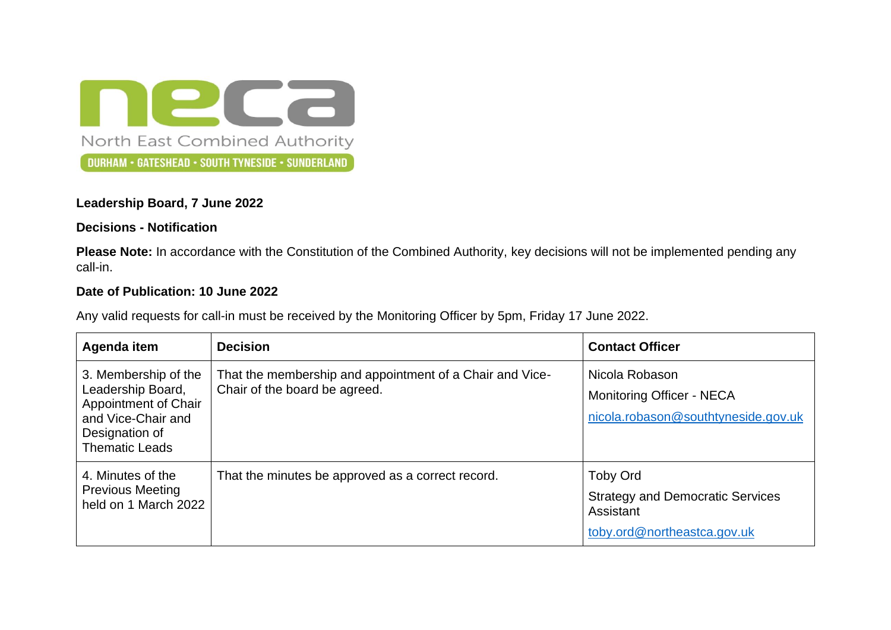neca North East Combined Authority DURHAM • GATESHEAD • SOUTH TYNESIDE • SUNDERLAND

## **Leadership Board, 7 June 2022**

## **Decisions - Notification**

**Please Note:** In accordance with the Constitution of the Combined Authority, key decisions will not be implemented pending any call-in.

## **Date of Publication: 10 June 2022**

Any valid requests for call-in must be received by the Monitoring Officer by 5pm, Friday 17 June 2022.

| Agenda item                                                                                                                        | <b>Decision</b>                                                                           | <b>Contact Officer</b>                                                                                 |
|------------------------------------------------------------------------------------------------------------------------------------|-------------------------------------------------------------------------------------------|--------------------------------------------------------------------------------------------------------|
| 3. Membership of the<br>Leadership Board,<br>Appointment of Chair<br>and Vice-Chair and<br>Designation of<br><b>Thematic Leads</b> | That the membership and appointment of a Chair and Vice-<br>Chair of the board be agreed. | Nicola Robason<br>Monitoring Officer - NECA<br>nicola.robason@southtyneside.gov.uk                     |
| 4. Minutes of the<br><b>Previous Meeting</b><br>held on 1 March 2022                                                               | That the minutes be approved as a correct record.                                         | <b>Toby Ord</b><br><b>Strategy and Democratic Services</b><br>Assistant<br>toby.ord@northeastca.gov.uk |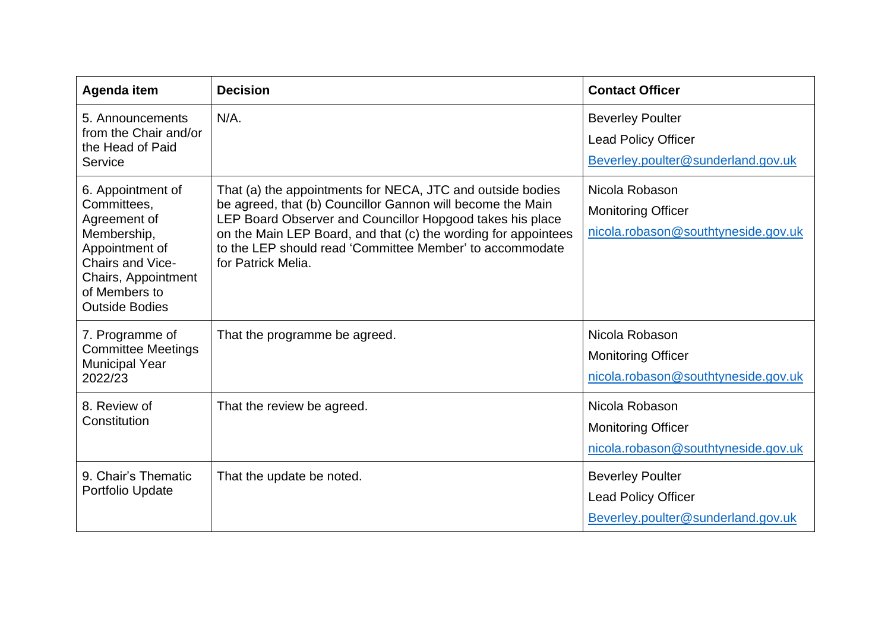| Agenda item                                                                                                                                                                   | <b>Decision</b>                                                                                                                                                                                                                                                                                                                           | <b>Contact Officer</b>                                                                      |
|-------------------------------------------------------------------------------------------------------------------------------------------------------------------------------|-------------------------------------------------------------------------------------------------------------------------------------------------------------------------------------------------------------------------------------------------------------------------------------------------------------------------------------------|---------------------------------------------------------------------------------------------|
| 5. Announcements<br>from the Chair and/or<br>the Head of Paid<br>Service                                                                                                      | $N/A$ .                                                                                                                                                                                                                                                                                                                                   | <b>Beverley Poulter</b><br><b>Lead Policy Officer</b><br>Beverley.poulter@sunderland.gov.uk |
| 6. Appointment of<br>Committees,<br>Agreement of<br>Membership,<br>Appointment of<br><b>Chairs and Vice-</b><br>Chairs, Appointment<br>of Members to<br><b>Outside Bodies</b> | That (a) the appointments for NECA, JTC and outside bodies<br>be agreed, that (b) Councillor Gannon will become the Main<br>LEP Board Observer and Councillor Hopgood takes his place<br>on the Main LEP Board, and that (c) the wording for appointees<br>to the LEP should read 'Committee Member' to accommodate<br>for Patrick Melia. | Nicola Robason<br><b>Monitoring Officer</b><br>nicola.robason@southtyneside.gov.uk          |
| 7. Programme of<br><b>Committee Meetings</b><br><b>Municipal Year</b><br>2022/23                                                                                              | That the programme be agreed.                                                                                                                                                                                                                                                                                                             | Nicola Robason<br><b>Monitoring Officer</b><br>nicola.robason@southtyneside.gov.uk          |
| 8. Review of<br>Constitution                                                                                                                                                  | That the review be agreed.                                                                                                                                                                                                                                                                                                                | Nicola Robason<br><b>Monitoring Officer</b><br>nicola.robason@southtyneside.gov.uk          |
| 9. Chair's Thematic<br>Portfolio Update                                                                                                                                       | That the update be noted.                                                                                                                                                                                                                                                                                                                 | <b>Beverley Poulter</b><br><b>Lead Policy Officer</b><br>Beverley.poulter@sunderland.gov.uk |